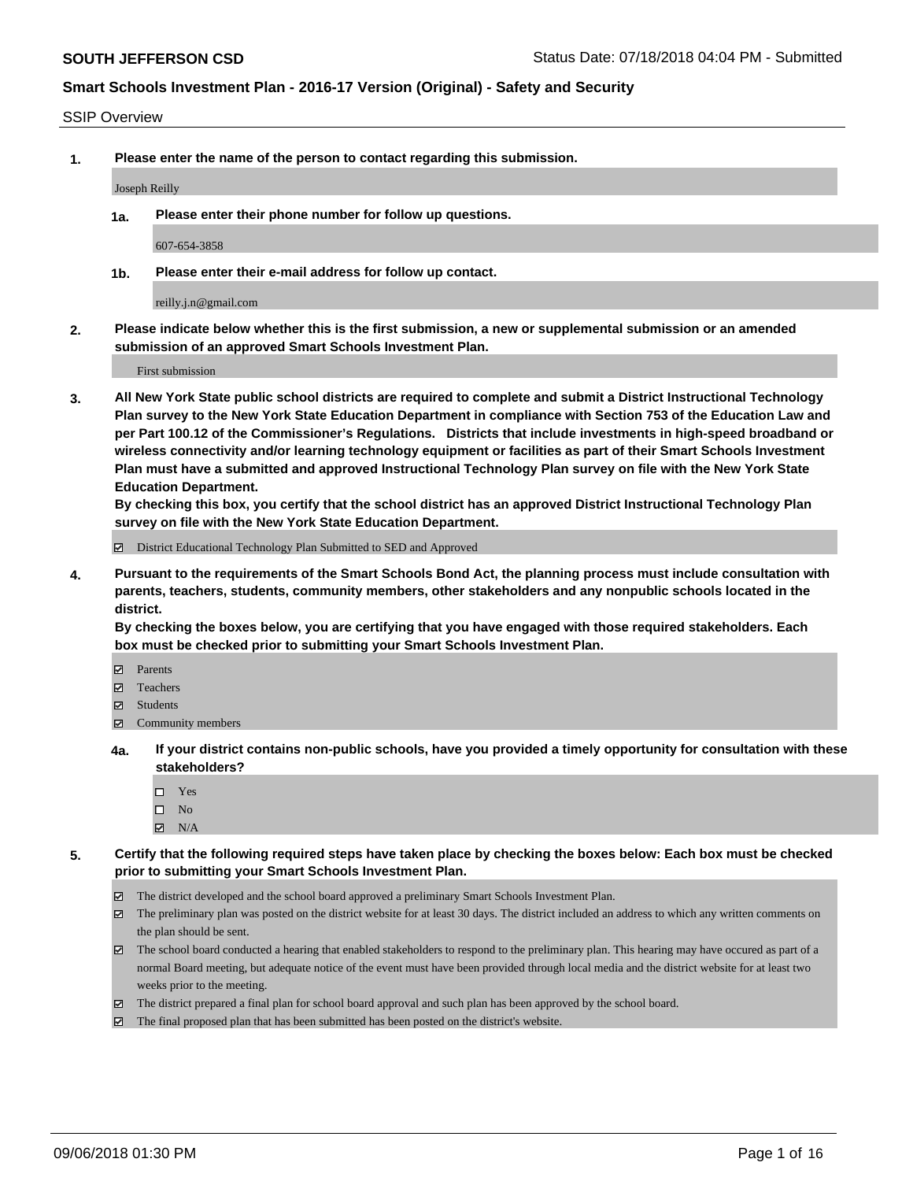#### SSIP Overview

**1. Please enter the name of the person to contact regarding this submission.**

Joseph Reilly

**1a. Please enter their phone number for follow up questions.**

607-654-3858

**1b. Please enter their e-mail address for follow up contact.**

reilly.j.n@gmail.com

**2. Please indicate below whether this is the first submission, a new or supplemental submission or an amended submission of an approved Smart Schools Investment Plan.**

First submission

**3. All New York State public school districts are required to complete and submit a District Instructional Technology Plan survey to the New York State Education Department in compliance with Section 753 of the Education Law and per Part 100.12 of the Commissioner's Regulations. Districts that include investments in high-speed broadband or wireless connectivity and/or learning technology equipment or facilities as part of their Smart Schools Investment Plan must have a submitted and approved Instructional Technology Plan survey on file with the New York State Education Department.** 

**By checking this box, you certify that the school district has an approved District Instructional Technology Plan survey on file with the New York State Education Department.**

District Educational Technology Plan Submitted to SED and Approved

**4. Pursuant to the requirements of the Smart Schools Bond Act, the planning process must include consultation with parents, teachers, students, community members, other stakeholders and any nonpublic schools located in the district.** 

**By checking the boxes below, you are certifying that you have engaged with those required stakeholders. Each box must be checked prior to submitting your Smart Schools Investment Plan.**

- **Parents**
- Teachers
- **☑** Students
- **☑** Community members
- **4a. If your district contains non-public schools, have you provided a timely opportunity for consultation with these stakeholders?**
	- □ Yes
	- $\square$  No
	- $\boxtimes$  N/A
- **5. Certify that the following required steps have taken place by checking the boxes below: Each box must be checked prior to submitting your Smart Schools Investment Plan.**
	- The district developed and the school board approved a preliminary Smart Schools Investment Plan.
	- $\boxtimes$  The preliminary plan was posted on the district website for at least 30 days. The district included an address to which any written comments on the plan should be sent.
	- The school board conducted a hearing that enabled stakeholders to respond to the preliminary plan. This hearing may have occured as part of a normal Board meeting, but adequate notice of the event must have been provided through local media and the district website for at least two weeks prior to the meeting.
	- The district prepared a final plan for school board approval and such plan has been approved by the school board.
	- The final proposed plan that has been submitted has been posted on the district's website.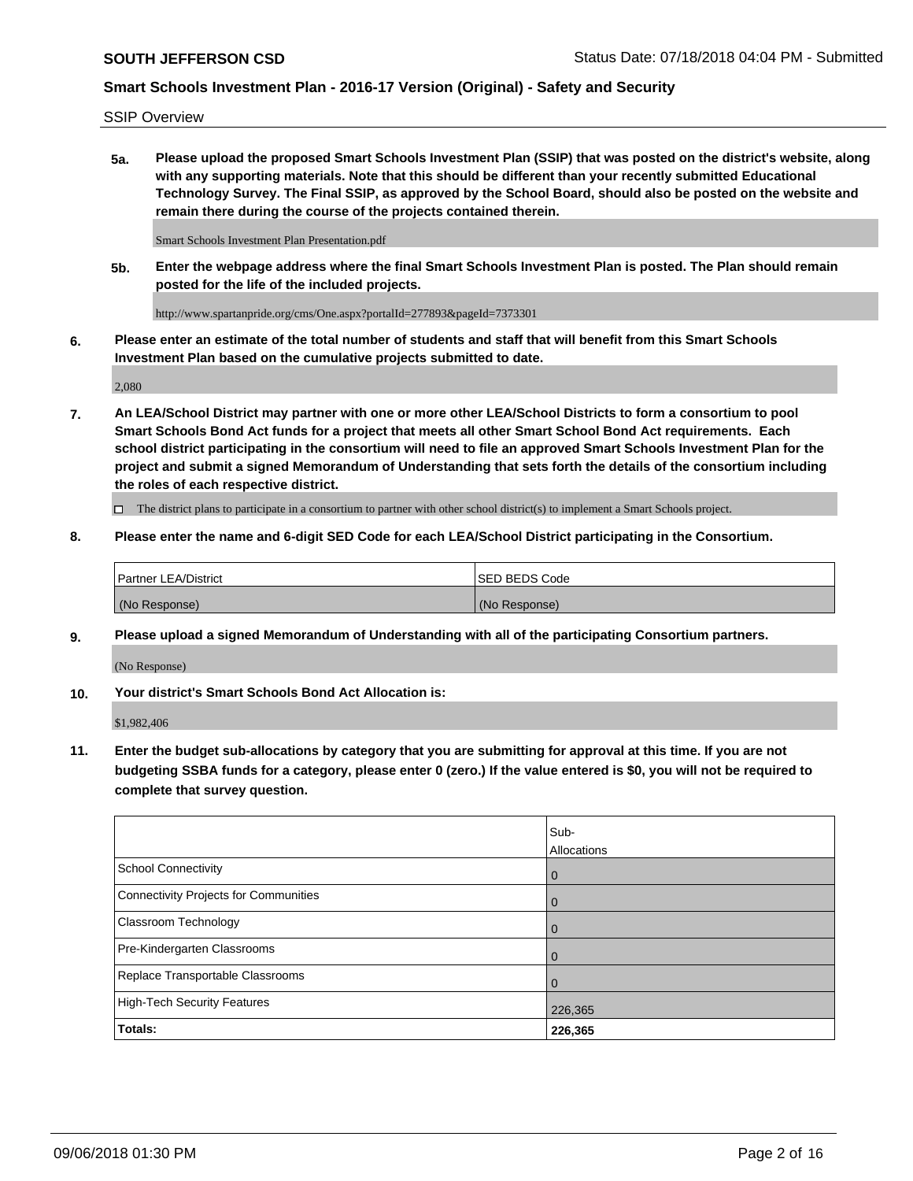SSIP Overview

**5a. Please upload the proposed Smart Schools Investment Plan (SSIP) that was posted on the district's website, along with any supporting materials. Note that this should be different than your recently submitted Educational Technology Survey. The Final SSIP, as approved by the School Board, should also be posted on the website and remain there during the course of the projects contained therein.**

Smart Schools Investment Plan Presentation.pdf

**5b. Enter the webpage address where the final Smart Schools Investment Plan is posted. The Plan should remain posted for the life of the included projects.**

http://www.spartanpride.org/cms/One.aspx?portalId=277893&pageId=7373301

**6. Please enter an estimate of the total number of students and staff that will benefit from this Smart Schools Investment Plan based on the cumulative projects submitted to date.**

2,080

**7. An LEA/School District may partner with one or more other LEA/School Districts to form a consortium to pool Smart Schools Bond Act funds for a project that meets all other Smart School Bond Act requirements. Each school district participating in the consortium will need to file an approved Smart Schools Investment Plan for the project and submit a signed Memorandum of Understanding that sets forth the details of the consortium including the roles of each respective district.**

 $\Box$  The district plans to participate in a consortium to partner with other school district(s) to implement a Smart Schools project.

### **8. Please enter the name and 6-digit SED Code for each LEA/School District participating in the Consortium.**

| <b>Partner LEA/District</b> | <b>ISED BEDS Code</b> |
|-----------------------------|-----------------------|
| (No Response)               | (No Response)         |

#### **9. Please upload a signed Memorandum of Understanding with all of the participating Consortium partners.**

(No Response)

**10. Your district's Smart Schools Bond Act Allocation is:**

\$1,982,406

**11. Enter the budget sub-allocations by category that you are submitting for approval at this time. If you are not budgeting SSBA funds for a category, please enter 0 (zero.) If the value entered is \$0, you will not be required to complete that survey question.**

|                                       | Sub-<br>Allocations |
|---------------------------------------|---------------------|
| <b>School Connectivity</b>            | $\mathbf 0$         |
| Connectivity Projects for Communities | $\overline{0}$      |
| <b>Classroom Technology</b>           | 0                   |
| Pre-Kindergarten Classrooms           | $\Omega$            |
| Replace Transportable Classrooms      | $\Omega$            |
| High-Tech Security Features           | 226,365             |
| Totals:                               | 226,365             |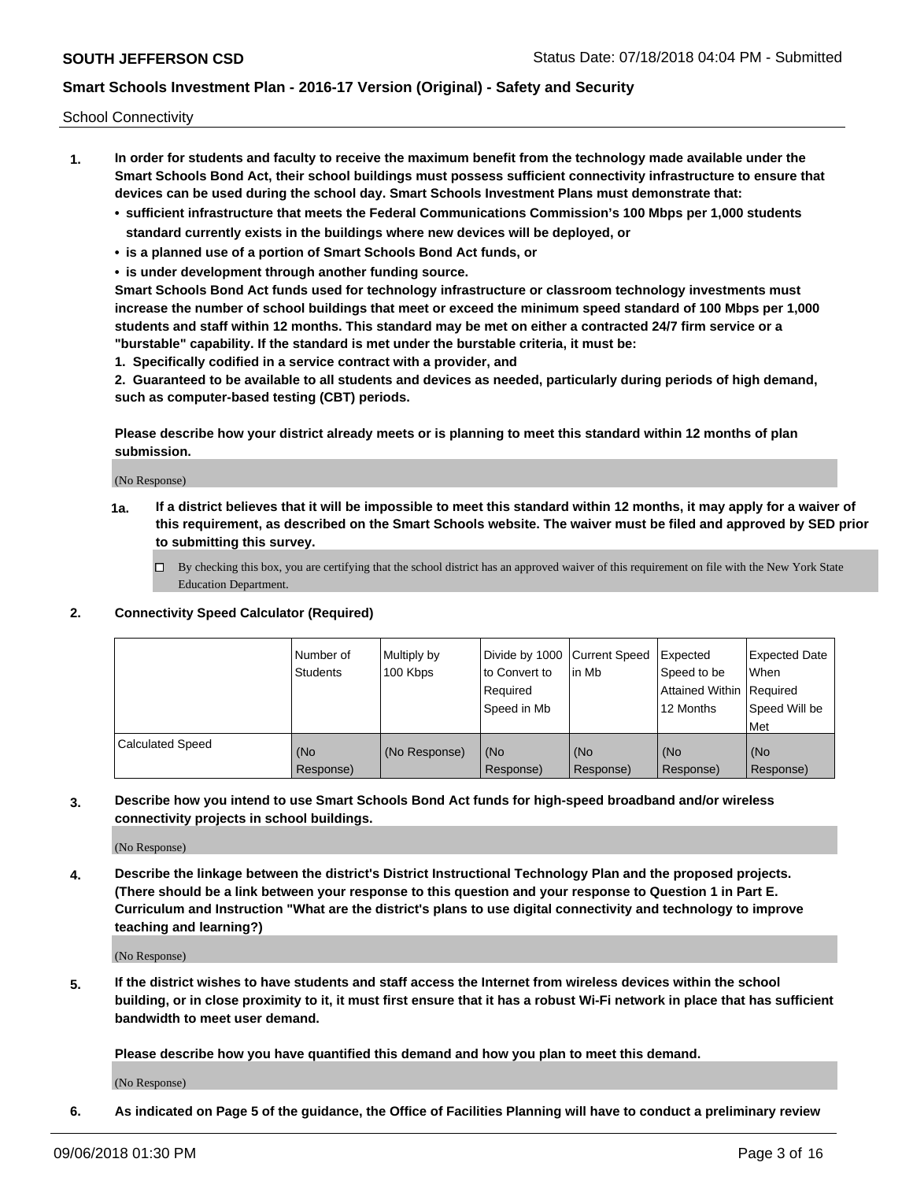School Connectivity

- **1. In order for students and faculty to receive the maximum benefit from the technology made available under the Smart Schools Bond Act, their school buildings must possess sufficient connectivity infrastructure to ensure that devices can be used during the school day. Smart Schools Investment Plans must demonstrate that:**
	- **• sufficient infrastructure that meets the Federal Communications Commission's 100 Mbps per 1,000 students standard currently exists in the buildings where new devices will be deployed, or**
	- **• is a planned use of a portion of Smart Schools Bond Act funds, or**
	- **• is under development through another funding source.**

**Smart Schools Bond Act funds used for technology infrastructure or classroom technology investments must increase the number of school buildings that meet or exceed the minimum speed standard of 100 Mbps per 1,000 students and staff within 12 months. This standard may be met on either a contracted 24/7 firm service or a "burstable" capability. If the standard is met under the burstable criteria, it must be:**

**1. Specifically codified in a service contract with a provider, and**

**2. Guaranteed to be available to all students and devices as needed, particularly during periods of high demand, such as computer-based testing (CBT) periods.**

**Please describe how your district already meets or is planning to meet this standard within 12 months of plan submission.**

(No Response)

**1a. If a district believes that it will be impossible to meet this standard within 12 months, it may apply for a waiver of this requirement, as described on the Smart Schools website. The waiver must be filed and approved by SED prior to submitting this survey.**

 $\Box$  By checking this box, you are certifying that the school district has an approved waiver of this requirement on file with the New York State Education Department.

**2. Connectivity Speed Calculator (Required)**

|                         | l Number of<br><b>Students</b> | Multiply by<br>100 Kbps | Divide by 1000 Current Speed<br>to Convert to<br>Required<br>Speed in Mb | lin Mb           | Expected<br>Speed to be<br>Attained Within   Required<br>12 Months | <b>Expected Date</b><br><b>When</b><br>Speed Will be<br><b>Met</b> |
|-------------------------|--------------------------------|-------------------------|--------------------------------------------------------------------------|------------------|--------------------------------------------------------------------|--------------------------------------------------------------------|
| <b>Calculated Speed</b> | (No<br>Response)               | (No Response)           | (No<br>Response)                                                         | (No<br>Response) | (No<br>Response)                                                   | (No<br>Response)                                                   |

**3. Describe how you intend to use Smart Schools Bond Act funds for high-speed broadband and/or wireless connectivity projects in school buildings.**

(No Response)

**4. Describe the linkage between the district's District Instructional Technology Plan and the proposed projects. (There should be a link between your response to this question and your response to Question 1 in Part E. Curriculum and Instruction "What are the district's plans to use digital connectivity and technology to improve teaching and learning?)**

(No Response)

**5. If the district wishes to have students and staff access the Internet from wireless devices within the school building, or in close proximity to it, it must first ensure that it has a robust Wi-Fi network in place that has sufficient bandwidth to meet user demand.**

**Please describe how you have quantified this demand and how you plan to meet this demand.**

(No Response)

**6. As indicated on Page 5 of the guidance, the Office of Facilities Planning will have to conduct a preliminary review**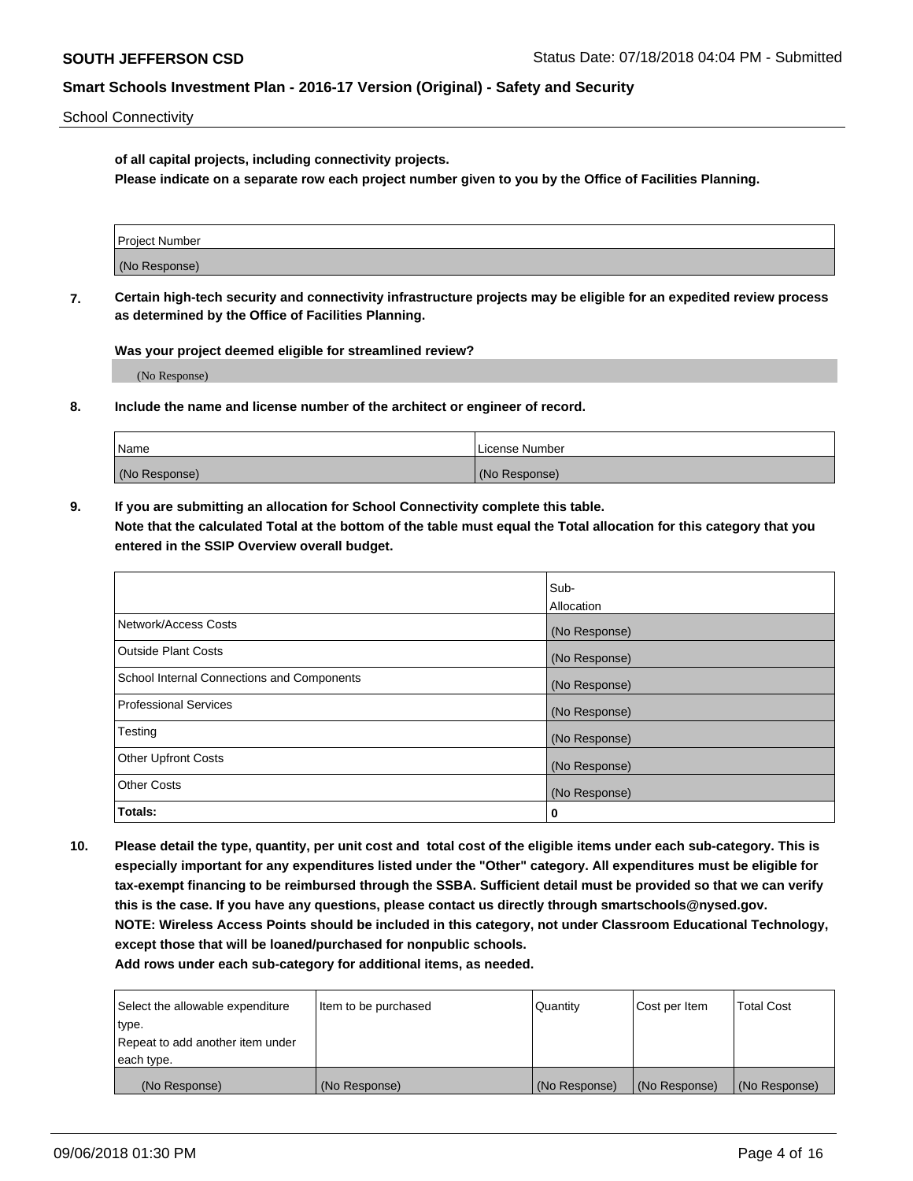School Connectivity

**of all capital projects, including connectivity projects.**

**Please indicate on a separate row each project number given to you by the Office of Facilities Planning.**

| Project Number |  |
|----------------|--|
|                |  |
| (No Response)  |  |
|                |  |

**7. Certain high-tech security and connectivity infrastructure projects may be eligible for an expedited review process as determined by the Office of Facilities Planning.**

**Was your project deemed eligible for streamlined review?**

(No Response)

**8. Include the name and license number of the architect or engineer of record.**

| Name          | License Number |
|---------------|----------------|
| (No Response) | (No Response)  |

**9. If you are submitting an allocation for School Connectivity complete this table. Note that the calculated Total at the bottom of the table must equal the Total allocation for this category that you entered in the SSIP Overview overall budget.** 

|                                            | Sub-          |
|--------------------------------------------|---------------|
|                                            | Allocation    |
| Network/Access Costs                       | (No Response) |
| Outside Plant Costs                        | (No Response) |
| School Internal Connections and Components | (No Response) |
| <b>Professional Services</b>               | (No Response) |
| Testing                                    | (No Response) |
| <b>Other Upfront Costs</b>                 | (No Response) |
| <b>Other Costs</b>                         | (No Response) |
| Totals:                                    | 0             |

**10. Please detail the type, quantity, per unit cost and total cost of the eligible items under each sub-category. This is especially important for any expenditures listed under the "Other" category. All expenditures must be eligible for tax-exempt financing to be reimbursed through the SSBA. Sufficient detail must be provided so that we can verify this is the case. If you have any questions, please contact us directly through smartschools@nysed.gov. NOTE: Wireless Access Points should be included in this category, not under Classroom Educational Technology, except those that will be loaned/purchased for nonpublic schools.**

| Select the allowable expenditure | Item to be purchased | Quantity      | Cost per Item | <b>Total Cost</b> |
|----------------------------------|----------------------|---------------|---------------|-------------------|
| type.                            |                      |               |               |                   |
| Repeat to add another item under |                      |               |               |                   |
| each type.                       |                      |               |               |                   |
| (No Response)                    | (No Response)        | (No Response) | (No Response) | (No Response)     |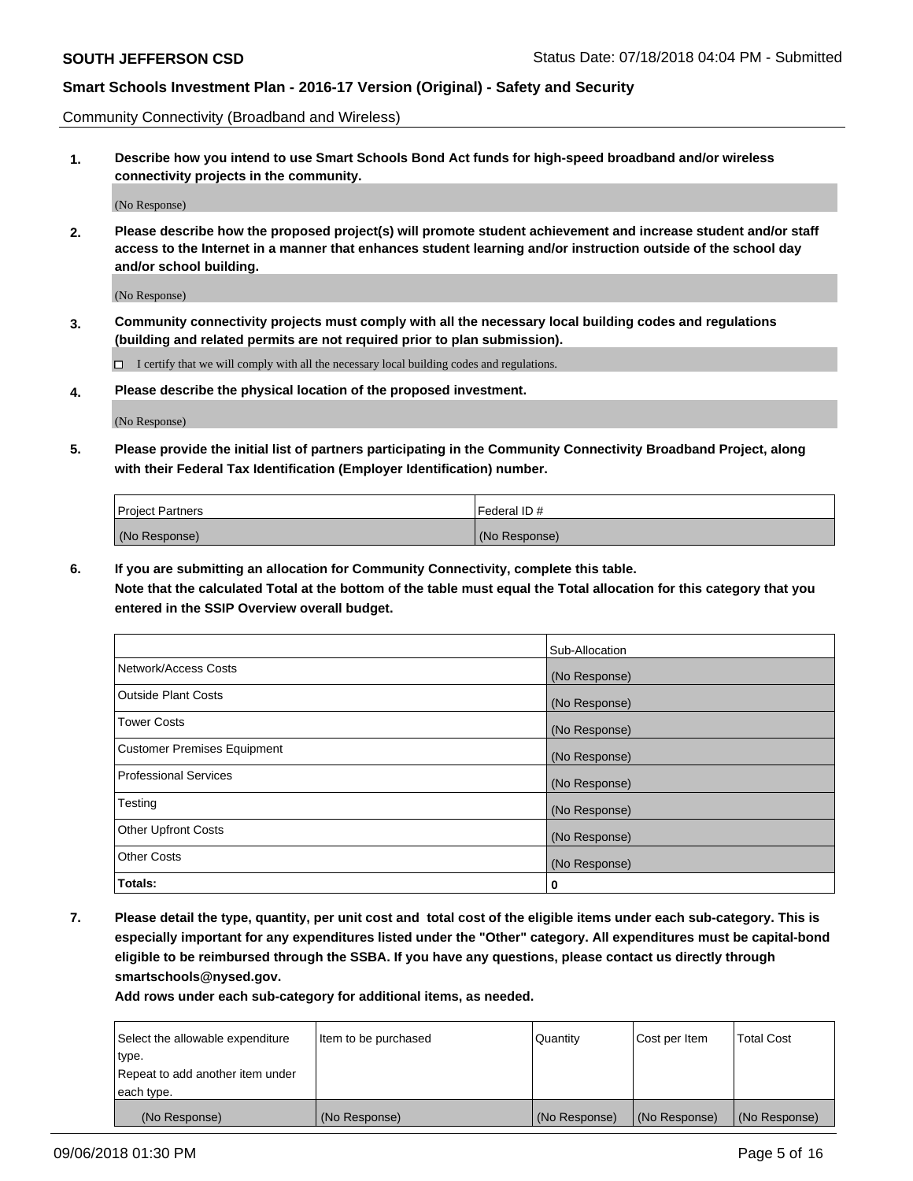Community Connectivity (Broadband and Wireless)

**1. Describe how you intend to use Smart Schools Bond Act funds for high-speed broadband and/or wireless connectivity projects in the community.**

(No Response)

**2. Please describe how the proposed project(s) will promote student achievement and increase student and/or staff access to the Internet in a manner that enhances student learning and/or instruction outside of the school day and/or school building.**

(No Response)

**3. Community connectivity projects must comply with all the necessary local building codes and regulations (building and related permits are not required prior to plan submission).**

 $\Box$  I certify that we will comply with all the necessary local building codes and regulations.

**4. Please describe the physical location of the proposed investment.**

(No Response)

**5. Please provide the initial list of partners participating in the Community Connectivity Broadband Project, along with their Federal Tax Identification (Employer Identification) number.**

| <b>Project Partners</b> | Federal ID#   |
|-------------------------|---------------|
| (No Response)           | (No Response) |

**6. If you are submitting an allocation for Community Connectivity, complete this table.**

**Note that the calculated Total at the bottom of the table must equal the Total allocation for this category that you entered in the SSIP Overview overall budget.**

|                                    | Sub-Allocation |
|------------------------------------|----------------|
| Network/Access Costs               | (No Response)  |
| <b>Outside Plant Costs</b>         | (No Response)  |
| <b>Tower Costs</b>                 | (No Response)  |
| <b>Customer Premises Equipment</b> | (No Response)  |
| <b>Professional Services</b>       | (No Response)  |
| Testing                            | (No Response)  |
| <b>Other Upfront Costs</b>         | (No Response)  |
| <b>Other Costs</b>                 | (No Response)  |
| Totals:                            | 0              |

**7. Please detail the type, quantity, per unit cost and total cost of the eligible items under each sub-category. This is especially important for any expenditures listed under the "Other" category. All expenditures must be capital-bond eligible to be reimbursed through the SSBA. If you have any questions, please contact us directly through smartschools@nysed.gov.**

| Select the allowable expenditure | Item to be purchased | Quantity      | Cost per Item | <b>Total Cost</b> |
|----------------------------------|----------------------|---------------|---------------|-------------------|
| type.                            |                      |               |               |                   |
| Repeat to add another item under |                      |               |               |                   |
| each type.                       |                      |               |               |                   |
| (No Response)                    | (No Response)        | (No Response) | (No Response) | (No Response)     |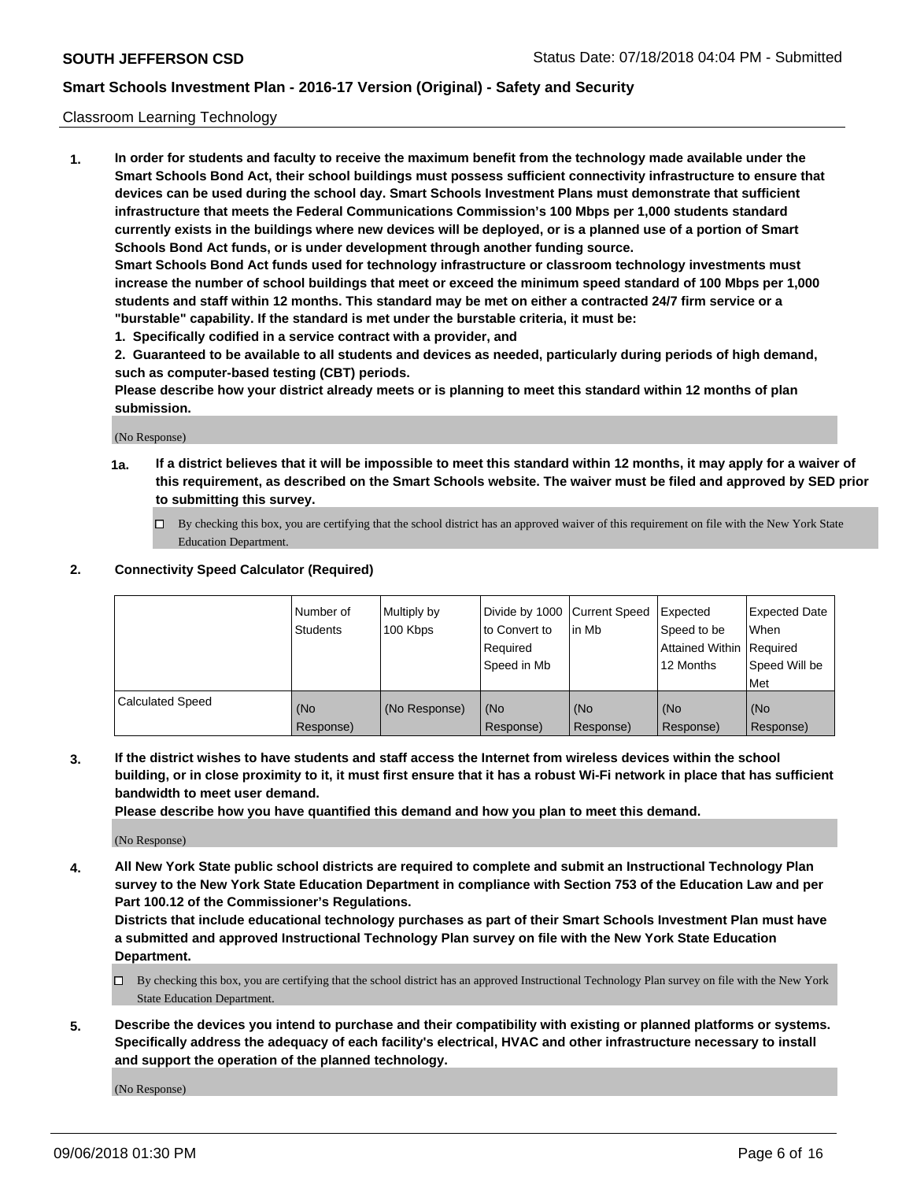### Classroom Learning Technology

**1. In order for students and faculty to receive the maximum benefit from the technology made available under the Smart Schools Bond Act, their school buildings must possess sufficient connectivity infrastructure to ensure that devices can be used during the school day. Smart Schools Investment Plans must demonstrate that sufficient infrastructure that meets the Federal Communications Commission's 100 Mbps per 1,000 students standard currently exists in the buildings where new devices will be deployed, or is a planned use of a portion of Smart Schools Bond Act funds, or is under development through another funding source. Smart Schools Bond Act funds used for technology infrastructure or classroom technology investments must increase the number of school buildings that meet or exceed the minimum speed standard of 100 Mbps per 1,000**

**students and staff within 12 months. This standard may be met on either a contracted 24/7 firm service or a "burstable" capability. If the standard is met under the burstable criteria, it must be:**

**1. Specifically codified in a service contract with a provider, and**

**2. Guaranteed to be available to all students and devices as needed, particularly during periods of high demand, such as computer-based testing (CBT) periods.**

**Please describe how your district already meets or is planning to meet this standard within 12 months of plan submission.**

(No Response)

- **1a. If a district believes that it will be impossible to meet this standard within 12 months, it may apply for a waiver of this requirement, as described on the Smart Schools website. The waiver must be filed and approved by SED prior to submitting this survey.**
	- By checking this box, you are certifying that the school district has an approved waiver of this requirement on file with the New York State Education Department.

#### **2. Connectivity Speed Calculator (Required)**

|                         | l Number of<br>Students | Multiply by<br>100 Kbps | to Convert to<br>Required<br>Speed in Mb | Divide by 1000 Current Speed Expected<br>lin Mb | Speed to be<br>Attained Within Required<br>12 Months | <b>Expected Date</b><br>When<br>Speed Will be<br>Met |
|-------------------------|-------------------------|-------------------------|------------------------------------------|-------------------------------------------------|------------------------------------------------------|------------------------------------------------------|
| <b>Calculated Speed</b> | (No<br>Response)        | (No Response)           | (No<br>Response)                         | (No<br>Response)                                | (No<br>Response)                                     | (No<br>Response)                                     |

**3. If the district wishes to have students and staff access the Internet from wireless devices within the school building, or in close proximity to it, it must first ensure that it has a robust Wi-Fi network in place that has sufficient bandwidth to meet user demand.**

**Please describe how you have quantified this demand and how you plan to meet this demand.**

(No Response)

**4. All New York State public school districts are required to complete and submit an Instructional Technology Plan survey to the New York State Education Department in compliance with Section 753 of the Education Law and per Part 100.12 of the Commissioner's Regulations.**

**Districts that include educational technology purchases as part of their Smart Schools Investment Plan must have a submitted and approved Instructional Technology Plan survey on file with the New York State Education Department.**

- $\Box$  By checking this box, you are certifying that the school district has an approved Instructional Technology Plan survey on file with the New York State Education Department.
- **5. Describe the devices you intend to purchase and their compatibility with existing or planned platforms or systems. Specifically address the adequacy of each facility's electrical, HVAC and other infrastructure necessary to install and support the operation of the planned technology.**

(No Response)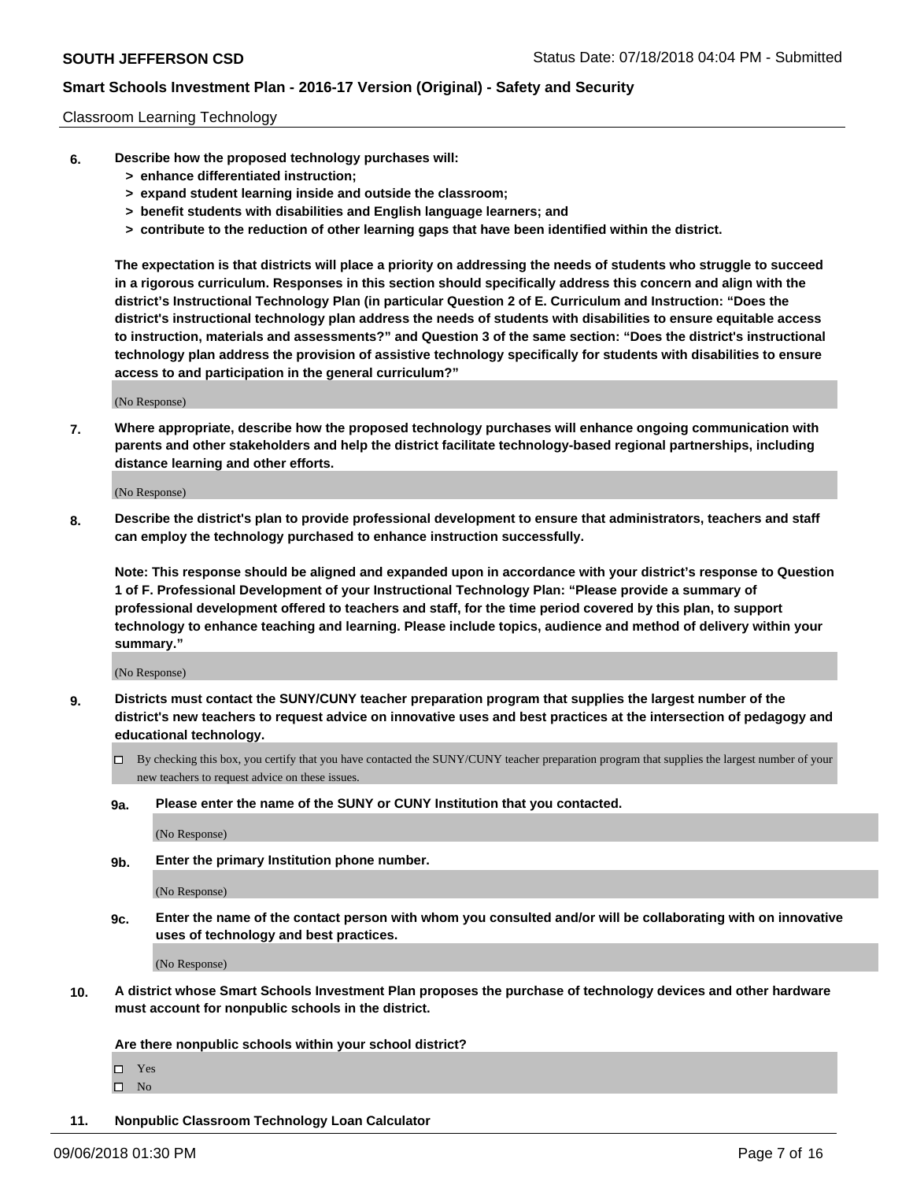#### Classroom Learning Technology

- **6. Describe how the proposed technology purchases will:**
	- **> enhance differentiated instruction;**
	- **> expand student learning inside and outside the classroom;**
	- **> benefit students with disabilities and English language learners; and**
	- **> contribute to the reduction of other learning gaps that have been identified within the district.**

**The expectation is that districts will place a priority on addressing the needs of students who struggle to succeed in a rigorous curriculum. Responses in this section should specifically address this concern and align with the district's Instructional Technology Plan (in particular Question 2 of E. Curriculum and Instruction: "Does the district's instructional technology plan address the needs of students with disabilities to ensure equitable access to instruction, materials and assessments?" and Question 3 of the same section: "Does the district's instructional technology plan address the provision of assistive technology specifically for students with disabilities to ensure access to and participation in the general curriculum?"**

(No Response)

**7. Where appropriate, describe how the proposed technology purchases will enhance ongoing communication with parents and other stakeholders and help the district facilitate technology-based regional partnerships, including distance learning and other efforts.**

(No Response)

**8. Describe the district's plan to provide professional development to ensure that administrators, teachers and staff can employ the technology purchased to enhance instruction successfully.**

**Note: This response should be aligned and expanded upon in accordance with your district's response to Question 1 of F. Professional Development of your Instructional Technology Plan: "Please provide a summary of professional development offered to teachers and staff, for the time period covered by this plan, to support technology to enhance teaching and learning. Please include topics, audience and method of delivery within your summary."**

(No Response)

- **9. Districts must contact the SUNY/CUNY teacher preparation program that supplies the largest number of the district's new teachers to request advice on innovative uses and best practices at the intersection of pedagogy and educational technology.**
	- By checking this box, you certify that you have contacted the SUNY/CUNY teacher preparation program that supplies the largest number of your new teachers to request advice on these issues.
	- **9a. Please enter the name of the SUNY or CUNY Institution that you contacted.**

(No Response)

**9b. Enter the primary Institution phone number.**

(No Response)

**9c. Enter the name of the contact person with whom you consulted and/or will be collaborating with on innovative uses of technology and best practices.**

(No Response)

**10. A district whose Smart Schools Investment Plan proposes the purchase of technology devices and other hardware must account for nonpublic schools in the district.**

**Are there nonpublic schools within your school district?**

Yes

 $\square$  No

**11. Nonpublic Classroom Technology Loan Calculator**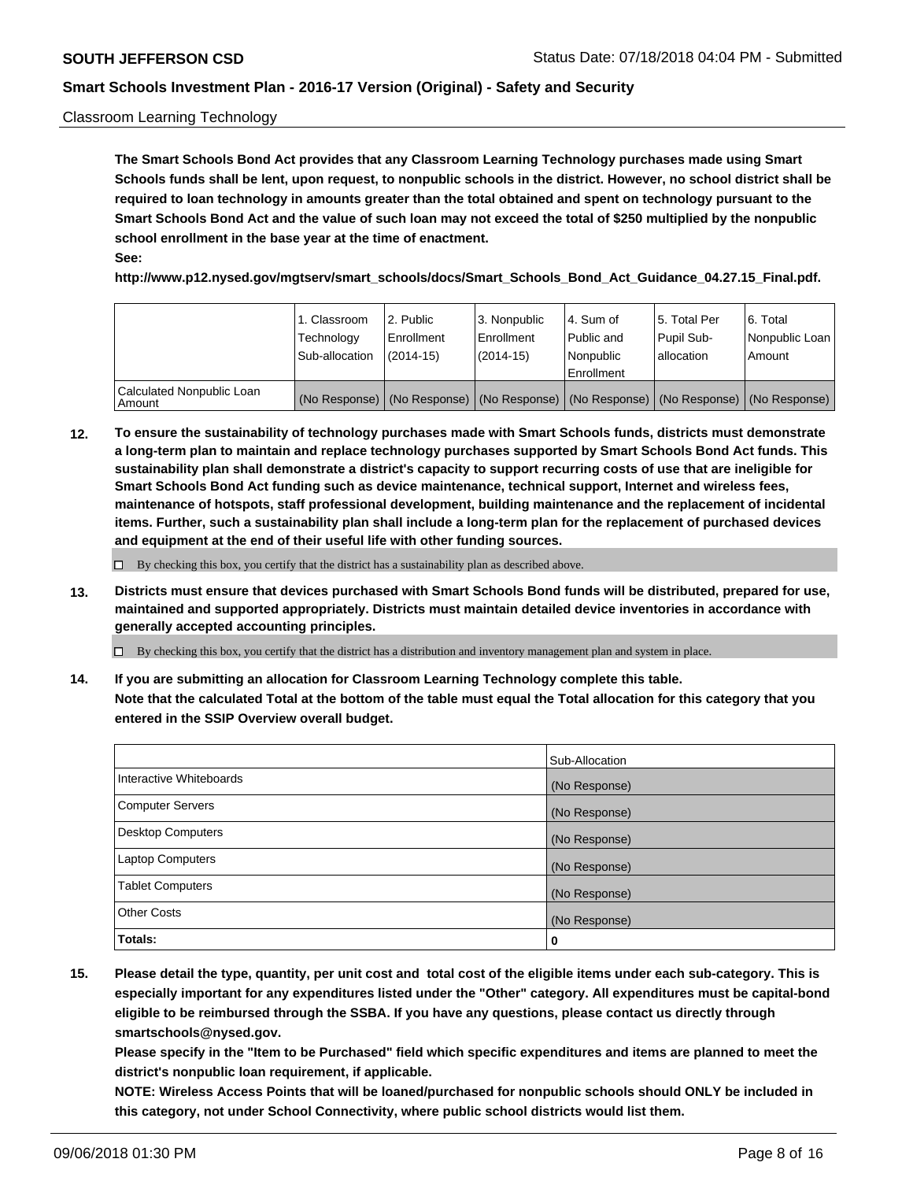### Classroom Learning Technology

**The Smart Schools Bond Act provides that any Classroom Learning Technology purchases made using Smart Schools funds shall be lent, upon request, to nonpublic schools in the district. However, no school district shall be required to loan technology in amounts greater than the total obtained and spent on technology pursuant to the Smart Schools Bond Act and the value of such loan may not exceed the total of \$250 multiplied by the nonpublic school enrollment in the base year at the time of enactment. See:**

**http://www.p12.nysed.gov/mgtserv/smart\_schools/docs/Smart\_Schools\_Bond\_Act\_Guidance\_04.27.15\_Final.pdf.**

|                                       | 1. Classroom<br>Technology<br>Sub-allocation | 2. Public<br>l Enrollment<br>(2014-15) | l 3. Nonpublic<br>l Enrollment<br>$(2014 - 15)$ | l 4. Sum of<br>l Public and<br>l Nonpublic<br>Enrollment                                      | 15. Total Per<br>Pupil Sub-<br>l allocation | l 6. Total<br>Nonpublic Loan<br>Amount |
|---------------------------------------|----------------------------------------------|----------------------------------------|-------------------------------------------------|-----------------------------------------------------------------------------------------------|---------------------------------------------|----------------------------------------|
| Calculated Nonpublic Loan<br>l Amount |                                              |                                        |                                                 | (No Response)   (No Response)   (No Response)   (No Response)   (No Response)   (No Response) |                                             |                                        |

**12. To ensure the sustainability of technology purchases made with Smart Schools funds, districts must demonstrate a long-term plan to maintain and replace technology purchases supported by Smart Schools Bond Act funds. This sustainability plan shall demonstrate a district's capacity to support recurring costs of use that are ineligible for Smart Schools Bond Act funding such as device maintenance, technical support, Internet and wireless fees, maintenance of hotspots, staff professional development, building maintenance and the replacement of incidental items. Further, such a sustainability plan shall include a long-term plan for the replacement of purchased devices and equipment at the end of their useful life with other funding sources.**

 $\Box$  By checking this box, you certify that the district has a sustainability plan as described above.

**13. Districts must ensure that devices purchased with Smart Schools Bond funds will be distributed, prepared for use, maintained and supported appropriately. Districts must maintain detailed device inventories in accordance with generally accepted accounting principles.**

By checking this box, you certify that the district has a distribution and inventory management plan and system in place.

**14. If you are submitting an allocation for Classroom Learning Technology complete this table. Note that the calculated Total at the bottom of the table must equal the Total allocation for this category that you entered in the SSIP Overview overall budget.**

|                          | Sub-Allocation |
|--------------------------|----------------|
| Interactive Whiteboards  | (No Response)  |
| <b>Computer Servers</b>  | (No Response)  |
| <b>Desktop Computers</b> | (No Response)  |
| <b>Laptop Computers</b>  | (No Response)  |
| <b>Tablet Computers</b>  | (No Response)  |
| <b>Other Costs</b>       | (No Response)  |
| Totals:                  | 0              |

**15. Please detail the type, quantity, per unit cost and total cost of the eligible items under each sub-category. This is especially important for any expenditures listed under the "Other" category. All expenditures must be capital-bond eligible to be reimbursed through the SSBA. If you have any questions, please contact us directly through smartschools@nysed.gov.**

**Please specify in the "Item to be Purchased" field which specific expenditures and items are planned to meet the district's nonpublic loan requirement, if applicable.**

**NOTE: Wireless Access Points that will be loaned/purchased for nonpublic schools should ONLY be included in this category, not under School Connectivity, where public school districts would list them.**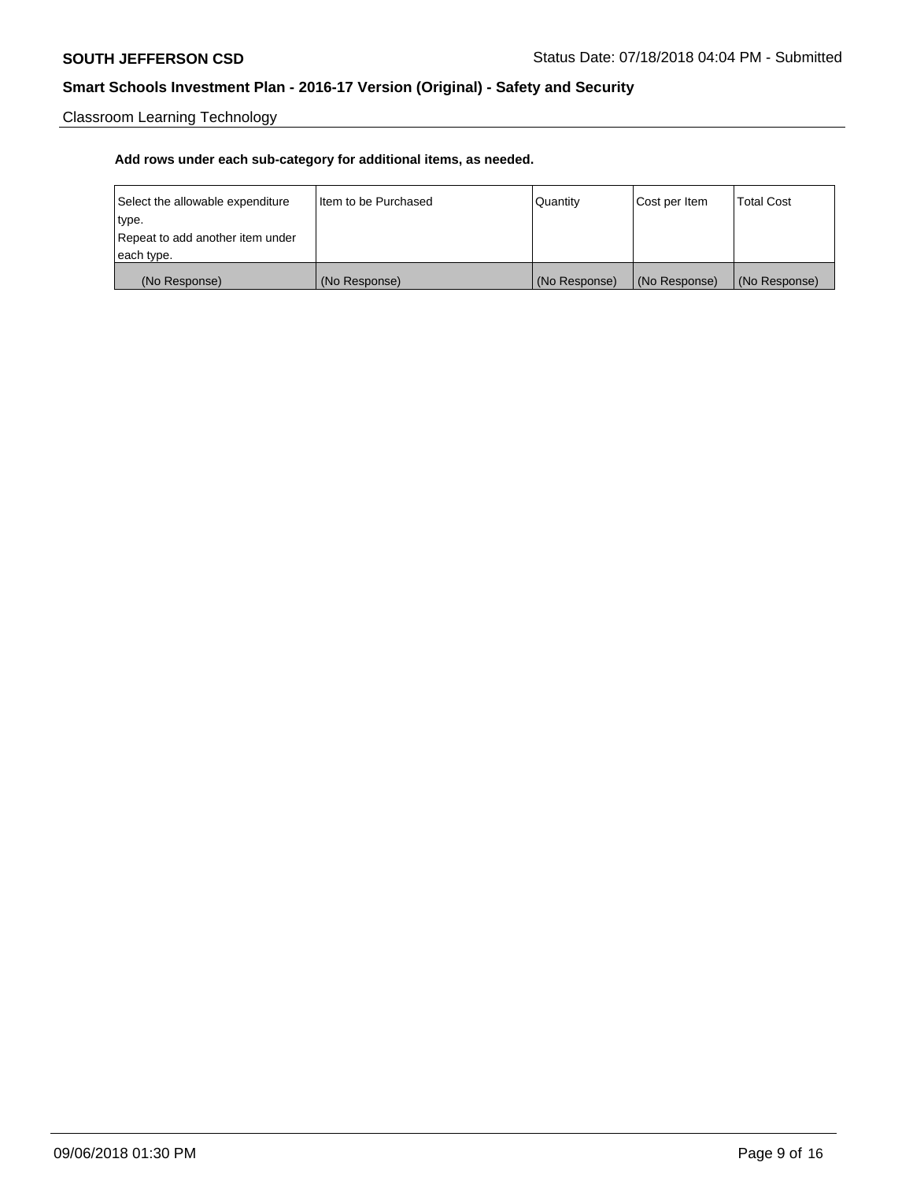Classroom Learning Technology

| Select the allowable expenditure | Iltem to be Purchased | Quantity      | Cost per Item | <b>Total Cost</b> |
|----------------------------------|-----------------------|---------------|---------------|-------------------|
| type.                            |                       |               |               |                   |
| Repeat to add another item under |                       |               |               |                   |
| each type.                       |                       |               |               |                   |
| (No Response)                    | (No Response)         | (No Response) | (No Response) | (No Response)     |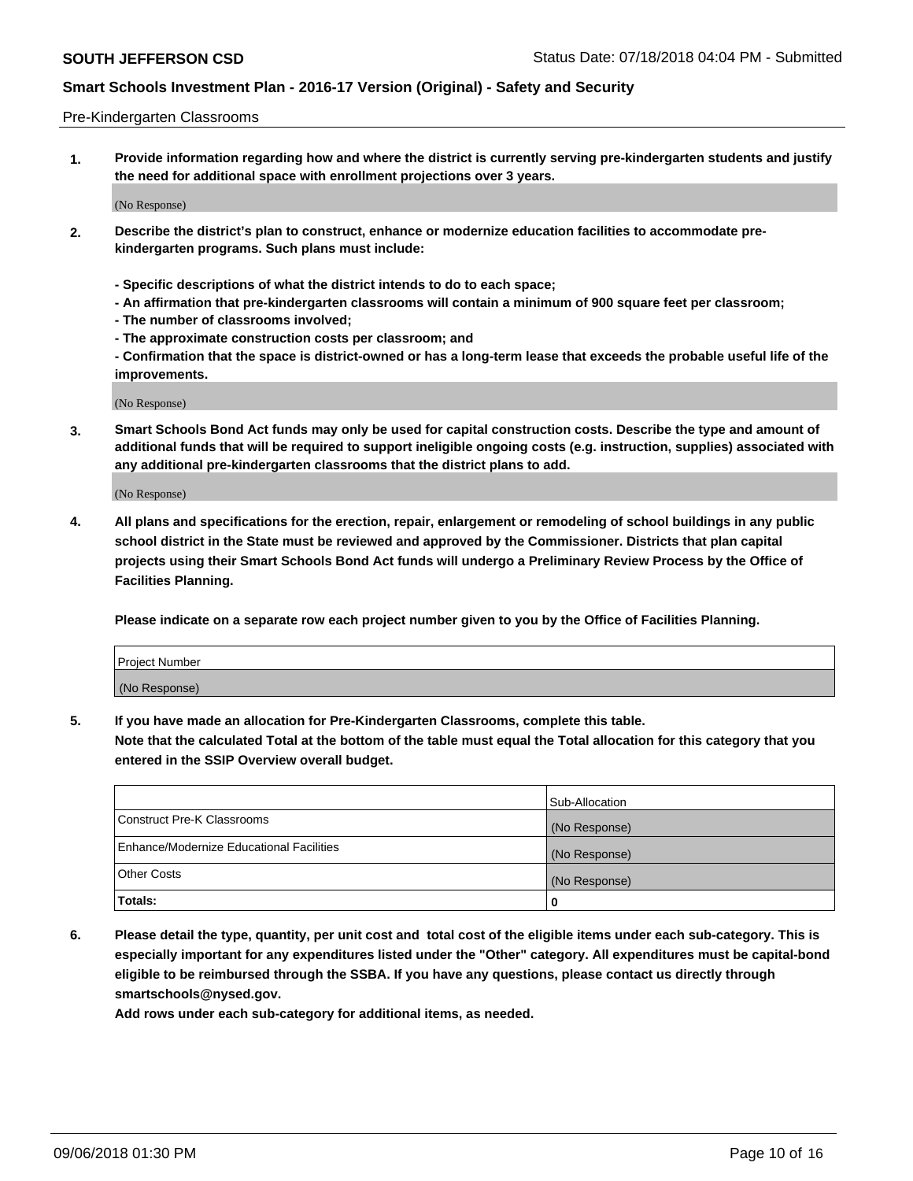#### Pre-Kindergarten Classrooms

**1. Provide information regarding how and where the district is currently serving pre-kindergarten students and justify the need for additional space with enrollment projections over 3 years.**

(No Response)

- **2. Describe the district's plan to construct, enhance or modernize education facilities to accommodate prekindergarten programs. Such plans must include:**
	- **Specific descriptions of what the district intends to do to each space;**
	- **An affirmation that pre-kindergarten classrooms will contain a minimum of 900 square feet per classroom;**
	- **The number of classrooms involved;**
	- **The approximate construction costs per classroom; and**
	- **Confirmation that the space is district-owned or has a long-term lease that exceeds the probable useful life of the improvements.**

(No Response)

**3. Smart Schools Bond Act funds may only be used for capital construction costs. Describe the type and amount of additional funds that will be required to support ineligible ongoing costs (e.g. instruction, supplies) associated with any additional pre-kindergarten classrooms that the district plans to add.**

(No Response)

**4. All plans and specifications for the erection, repair, enlargement or remodeling of school buildings in any public school district in the State must be reviewed and approved by the Commissioner. Districts that plan capital projects using their Smart Schools Bond Act funds will undergo a Preliminary Review Process by the Office of Facilities Planning.**

**Please indicate on a separate row each project number given to you by the Office of Facilities Planning.**

| Project Number |  |
|----------------|--|
| (No Response)  |  |
|                |  |

**5. If you have made an allocation for Pre-Kindergarten Classrooms, complete this table.**

**Note that the calculated Total at the bottom of the table must equal the Total allocation for this category that you entered in the SSIP Overview overall budget.**

|                                          | Sub-Allocation |
|------------------------------------------|----------------|
| Construct Pre-K Classrooms               | (No Response)  |
| Enhance/Modernize Educational Facilities | (No Response)  |
| <b>Other Costs</b>                       | (No Response)  |
| Totals:                                  | 0              |

**6. Please detail the type, quantity, per unit cost and total cost of the eligible items under each sub-category. This is especially important for any expenditures listed under the "Other" category. All expenditures must be capital-bond eligible to be reimbursed through the SSBA. If you have any questions, please contact us directly through smartschools@nysed.gov.**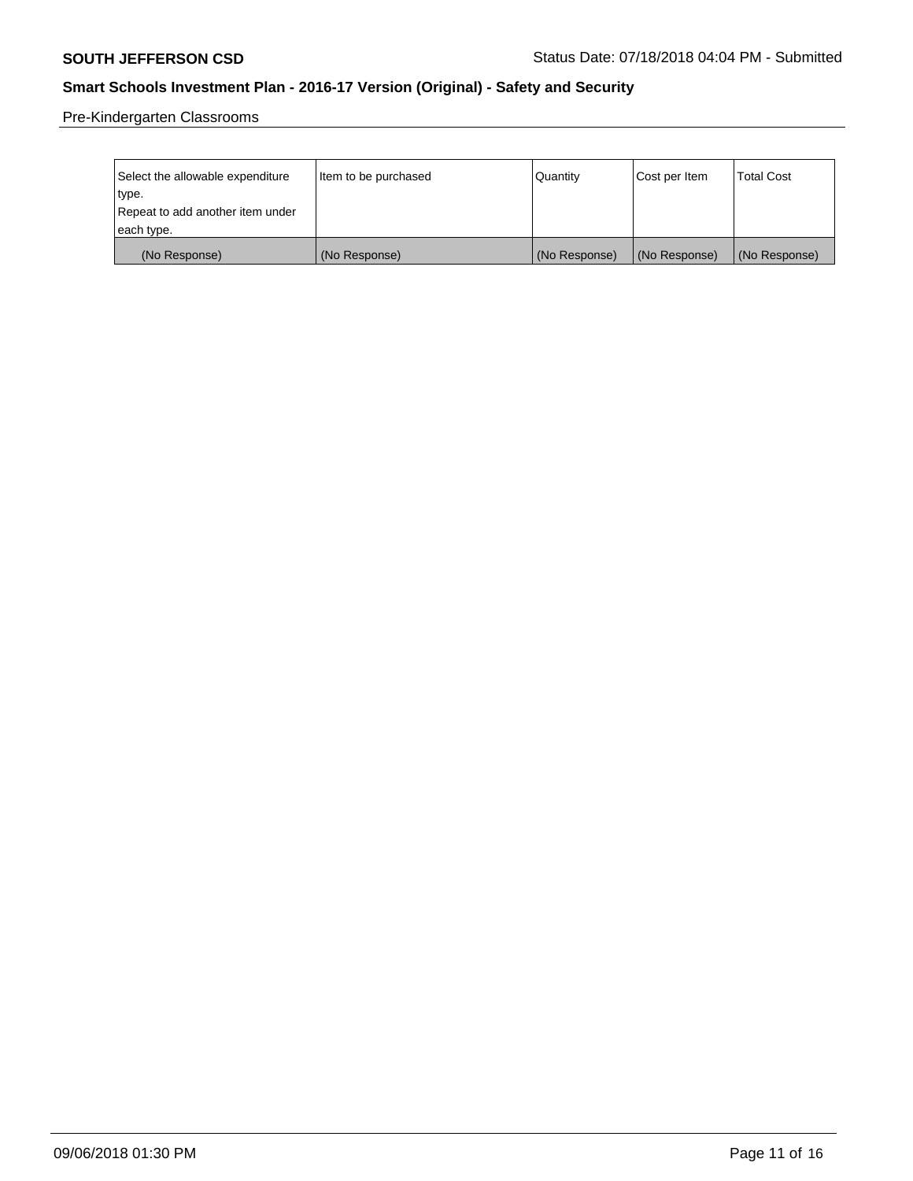Pre-Kindergarten Classrooms

| Select the allowable expenditure | Item to be purchased | Quantity      | Cost per Item | <b>Total Cost</b> |
|----------------------------------|----------------------|---------------|---------------|-------------------|
| type.                            |                      |               |               |                   |
| Repeat to add another item under |                      |               |               |                   |
| each type.                       |                      |               |               |                   |
| (No Response)                    | (No Response)        | (No Response) | (No Response) | (No Response)     |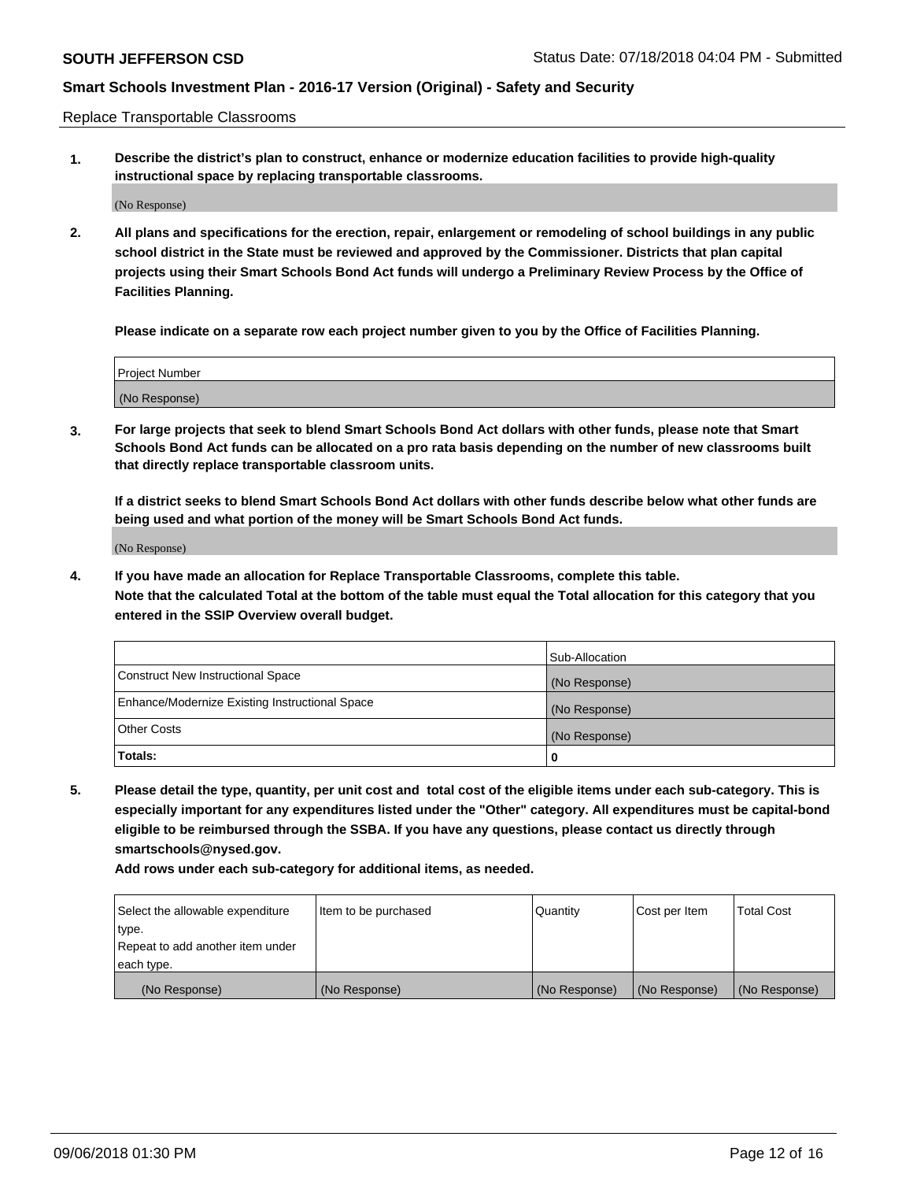Replace Transportable Classrooms

**1. Describe the district's plan to construct, enhance or modernize education facilities to provide high-quality instructional space by replacing transportable classrooms.**

(No Response)

**2. All plans and specifications for the erection, repair, enlargement or remodeling of school buildings in any public school district in the State must be reviewed and approved by the Commissioner. Districts that plan capital projects using their Smart Schools Bond Act funds will undergo a Preliminary Review Process by the Office of Facilities Planning.**

**Please indicate on a separate row each project number given to you by the Office of Facilities Planning.**

| Project Number |  |
|----------------|--|
|                |  |
|                |  |
|                |  |
|                |  |
| (No Response)  |  |
|                |  |
|                |  |
|                |  |

**3. For large projects that seek to blend Smart Schools Bond Act dollars with other funds, please note that Smart Schools Bond Act funds can be allocated on a pro rata basis depending on the number of new classrooms built that directly replace transportable classroom units.**

**If a district seeks to blend Smart Schools Bond Act dollars with other funds describe below what other funds are being used and what portion of the money will be Smart Schools Bond Act funds.**

(No Response)

**4. If you have made an allocation for Replace Transportable Classrooms, complete this table. Note that the calculated Total at the bottom of the table must equal the Total allocation for this category that you entered in the SSIP Overview overall budget.**

|                                                | Sub-Allocation |
|------------------------------------------------|----------------|
| Construct New Instructional Space              | (No Response)  |
| Enhance/Modernize Existing Instructional Space | (No Response)  |
| <b>Other Costs</b>                             | (No Response)  |
| Totals:                                        | 0              |

**5. Please detail the type, quantity, per unit cost and total cost of the eligible items under each sub-category. This is especially important for any expenditures listed under the "Other" category. All expenditures must be capital-bond eligible to be reimbursed through the SSBA. If you have any questions, please contact us directly through smartschools@nysed.gov.**

| Select the allowable expenditure | Item to be purchased | l Quantitv    | Cost per Item | <b>Total Cost</b> |
|----------------------------------|----------------------|---------------|---------------|-------------------|
| type.                            |                      |               |               |                   |
| Repeat to add another item under |                      |               |               |                   |
| each type.                       |                      |               |               |                   |
| (No Response)                    | (No Response)        | (No Response) | (No Response) | (No Response)     |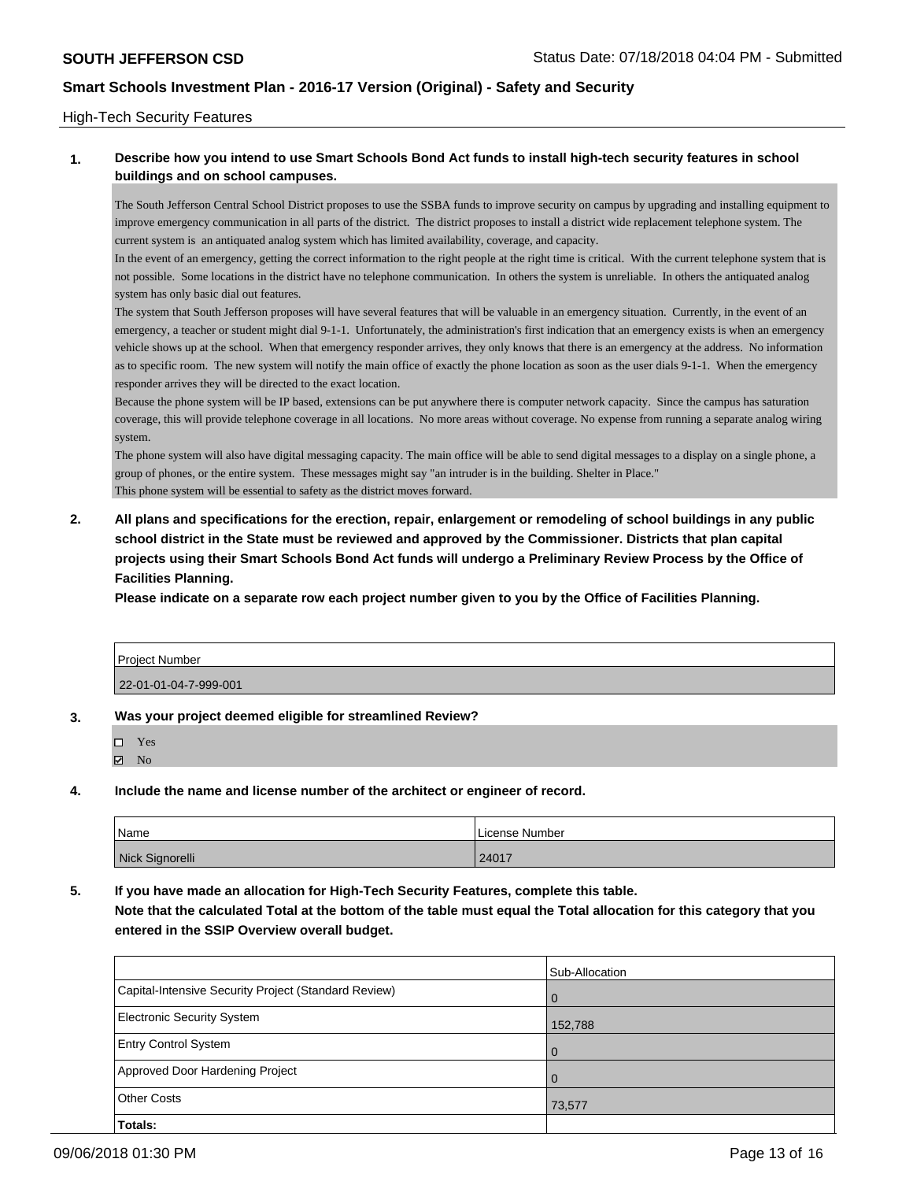### High-Tech Security Features

## **1. Describe how you intend to use Smart Schools Bond Act funds to install high-tech security features in school buildings and on school campuses.**

The South Jefferson Central School District proposes to use the SSBA funds to improve security on campus by upgrading and installing equipment to improve emergency communication in all parts of the district. The district proposes to install a district wide replacement telephone system. The current system is an antiquated analog system which has limited availability, coverage, and capacity.

In the event of an emergency, getting the correct information to the right people at the right time is critical. With the current telephone system that is not possible. Some locations in the district have no telephone communication. In others the system is unreliable. In others the antiquated analog system has only basic dial out features.

The system that South Jefferson proposes will have several features that will be valuable in an emergency situation. Currently, in the event of an emergency, a teacher or student might dial 9-1-1. Unfortunately, the administration's first indication that an emergency exists is when an emergency vehicle shows up at the school. When that emergency responder arrives, they only knows that there is an emergency at the address. No information as to specific room. The new system will notify the main office of exactly the phone location as soon as the user dials 9-1-1. When the emergency responder arrives they will be directed to the exact location.

Because the phone system will be IP based, extensions can be put anywhere there is computer network capacity. Since the campus has saturation coverage, this will provide telephone coverage in all locations. No more areas without coverage. No expense from running a separate analog wiring system.

The phone system will also have digital messaging capacity. The main office will be able to send digital messages to a display on a single phone, a group of phones, or the entire system. These messages might say "an intruder is in the building. Shelter in Place." This phone system will be essential to safety as the district moves forward.

**2. All plans and specifications for the erection, repair, enlargement or remodeling of school buildings in any public school district in the State must be reviewed and approved by the Commissioner. Districts that plan capital projects using their Smart Schools Bond Act funds will undergo a Preliminary Review Process by the Office of Facilities Planning.** 

**Please indicate on a separate row each project number given to you by the Office of Facilities Planning.**

| Project Number        |  |
|-----------------------|--|
| 22-01-01-04-7-999-001 |  |

### **3. Was your project deemed eligible for streamlined Review?**

- □ Yes
- $\boxtimes$  No
- **4. Include the name and license number of the architect or engineer of record.**

| <b>Name</b>     | License Number |
|-----------------|----------------|
| Nick Signorelli | 24017          |

**5. If you have made an allocation for High-Tech Security Features, complete this table.**

**Note that the calculated Total at the bottom of the table must equal the Total allocation for this category that you entered in the SSIP Overview overall budget.**

|                                                      | Sub-Allocation |
|------------------------------------------------------|----------------|
| Capital-Intensive Security Project (Standard Review) | $\overline{0}$ |
| Electronic Security System                           | 152,788        |
| <b>Entry Control System</b>                          | $\overline{0}$ |
| Approved Door Hardening Project                      | $\Omega$       |
| <b>Other Costs</b>                                   | 73,577         |
| Totals:                                              |                |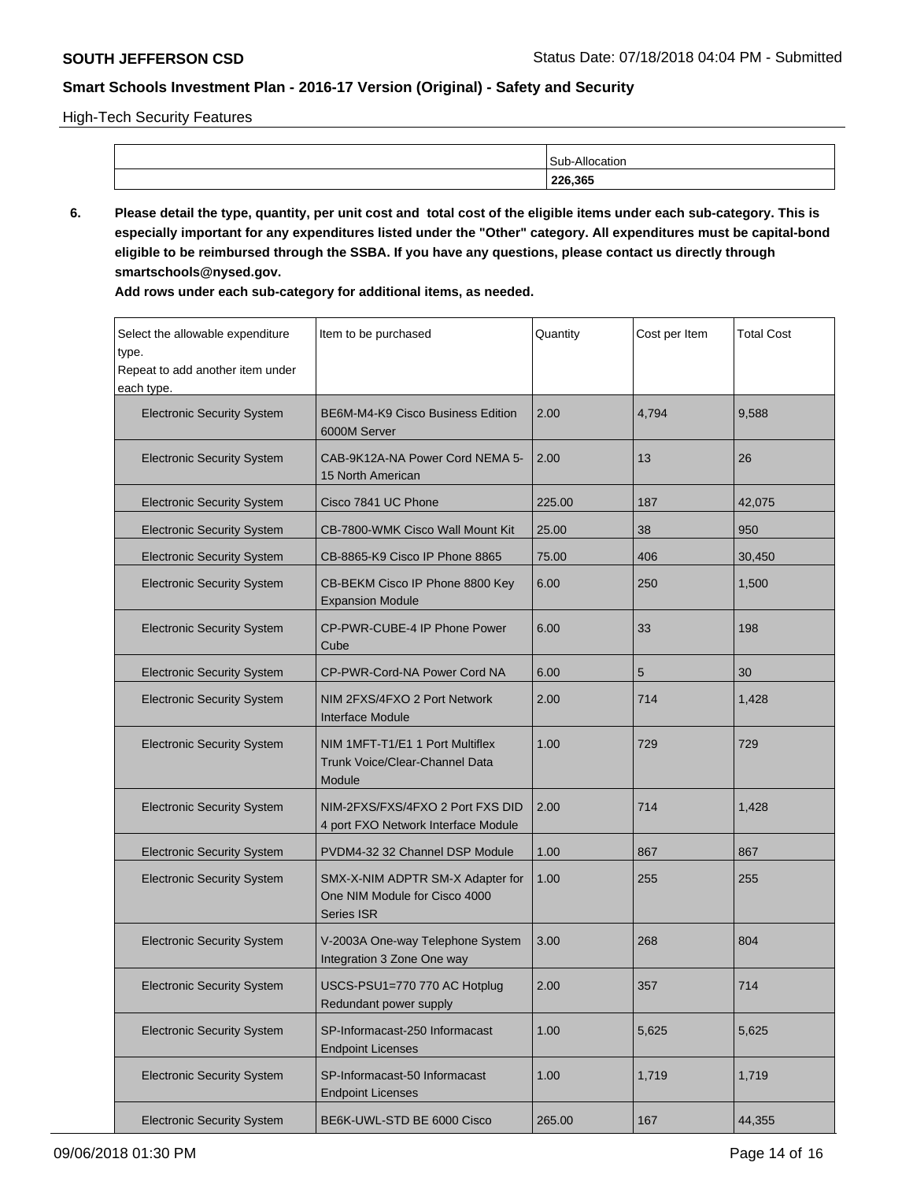High-Tech Security Features

| .<br>uor |
|----------|
| 226.365  |

**6. Please detail the type, quantity, per unit cost and total cost of the eligible items under each sub-category. This is especially important for any expenditures listed under the "Other" category. All expenditures must be capital-bond eligible to be reimbursed through the SSBA. If you have any questions, please contact us directly through smartschools@nysed.gov.**

| Select the allowable expenditure<br>type.<br>Repeat to add another item under<br>each type. | Item to be purchased                                                                   | Quantity | Cost per Item | <b>Total Cost</b> |
|---------------------------------------------------------------------------------------------|----------------------------------------------------------------------------------------|----------|---------------|-------------------|
| <b>Electronic Security System</b>                                                           | <b>BE6M-M4-K9 Cisco Business Edition</b><br>6000M Server                               | 2.00     | 4,794         | 9,588             |
| <b>Electronic Security System</b>                                                           | CAB-9K12A-NA Power Cord NEMA 5-<br>15 North American                                   | 2.00     | 13            | 26                |
| <b>Electronic Security System</b>                                                           | Cisco 7841 UC Phone                                                                    | 225.00   | 187           | 42,075            |
| <b>Electronic Security System</b>                                                           | CB-7800-WMK Cisco Wall Mount Kit                                                       | 25.00    | 38            | 950               |
| <b>Electronic Security System</b>                                                           | CB-8865-K9 Cisco IP Phone 8865                                                         | 75.00    | 406           | 30,450            |
| <b>Electronic Security System</b>                                                           | CB-BEKM Cisco IP Phone 8800 Key<br><b>Expansion Module</b>                             | 6.00     | 250           | 1,500             |
| <b>Electronic Security System</b>                                                           | CP-PWR-CUBE-4 IP Phone Power<br>Cube                                                   | 6.00     | 33            | 198               |
| <b>Electronic Security System</b>                                                           | CP-PWR-Cord-NA Power Cord NA                                                           | 6.00     | 5             | 30                |
| <b>Electronic Security System</b>                                                           | NIM 2FXS/4FXO 2 Port Network<br><b>Interface Module</b>                                | 2.00     | 714           | 1,428             |
| <b>Electronic Security System</b>                                                           | NIM 1MFT-T1/E1 1 Port Multiflex<br><b>Trunk Voice/Clear-Channel Data</b><br>Module     | 1.00     | 729           | 729               |
| <b>Electronic Security System</b>                                                           | NIM-2FXS/FXS/4FXO 2 Port FXS DID<br>4 port FXO Network Interface Module                | 2.00     | 714           | 1,428             |
| <b>Electronic Security System</b>                                                           | PVDM4-32 32 Channel DSP Module                                                         | 1.00     | 867           | 867               |
| <b>Electronic Security System</b>                                                           | SMX-X-NIM ADPTR SM-X Adapter for<br>One NIM Module for Cisco 4000<br><b>Series ISR</b> | 1.00     | 255           | 255               |
| <b>Electronic Security System</b>                                                           | V-2003A One-way Telephone System<br>Integration 3 Zone One way                         | 3.00     | 268           | 804               |
| <b>Electronic Security System</b>                                                           | USCS-PSU1=770 770 AC Hotplug<br>Redundant power supply                                 | 2.00     | 357           | 714               |
| <b>Electronic Security System</b>                                                           | SP-Informacast-250 Informacast<br><b>Endpoint Licenses</b>                             | 1.00     | 5,625         | 5,625             |
| <b>Electronic Security System</b>                                                           | SP-Informacast-50 Informacast<br><b>Endpoint Licenses</b>                              | 1.00     | 1,719         | 1,719             |
| <b>Electronic Security System</b>                                                           | BE6K-UWL-STD BE 6000 Cisco                                                             | 265.00   | 167           | 44,355            |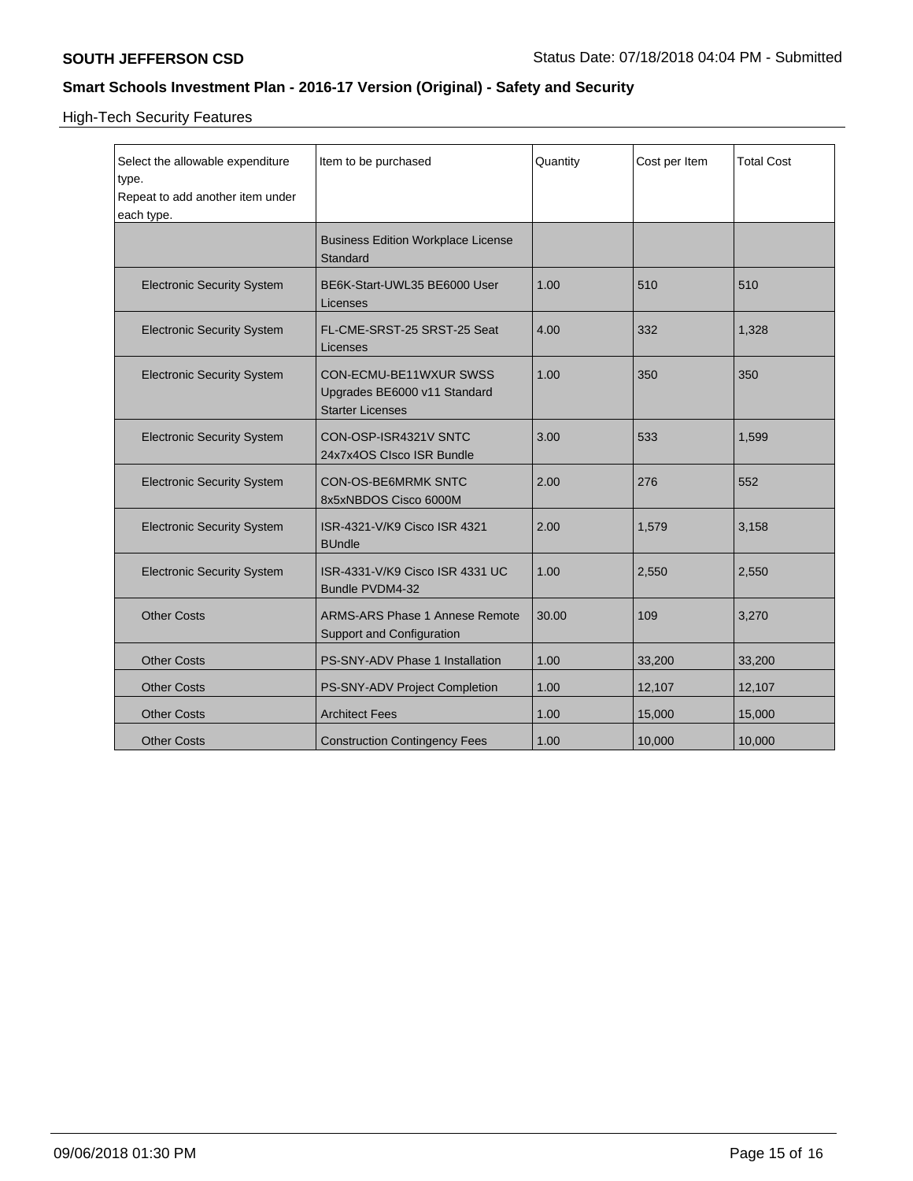High-Tech Security Features

| Select the allowable expenditure<br>type.<br>Repeat to add another item under<br>each type. | Item to be purchased                                                              | Quantity | Cost per Item | <b>Total Cost</b> |
|---------------------------------------------------------------------------------------------|-----------------------------------------------------------------------------------|----------|---------------|-------------------|
|                                                                                             | <b>Business Edition Workplace License</b><br>Standard                             |          |               |                   |
| <b>Electronic Security System</b>                                                           | BE6K-Start-UWL35 BE6000 User<br>Licenses                                          | 1.00     | 510           | 510               |
| <b>Electronic Security System</b>                                                           | FL-CME-SRST-25 SRST-25 Seat<br>Licenses                                           | 4.00     | 332           | 1,328             |
| <b>Electronic Security System</b>                                                           | CON-ECMU-BE11WXUR SWSS<br>Upgrades BE6000 v11 Standard<br><b>Starter Licenses</b> | 1.00     | 350           | 350               |
| <b>Electronic Security System</b>                                                           | CON-OSP-ISR4321V SNTC<br>24x7x4OS CIsco ISR Bundle                                | 3.00     | 533           | 1,599             |
| <b>Electronic Security System</b>                                                           | <b>CON-OS-BE6MRMK SNTC</b><br>8x5xNBDOS Cisco 6000M                               | 2.00     | 276           | 552               |
| <b>Electronic Security System</b>                                                           | ISR-4321-V/K9 Cisco ISR 4321<br><b>BUndle</b>                                     | 2.00     | 1,579         | 3,158             |
| <b>Electronic Security System</b>                                                           | ISR-4331-V/K9 Cisco ISR 4331 UC<br>Bundle PVDM4-32                                | 1.00     | 2,550         | 2,550             |
| <b>Other Costs</b>                                                                          | <b>ARMS-ARS Phase 1 Annese Remote</b><br><b>Support and Configuration</b>         | 30.00    | 109           | 3,270             |
| <b>Other Costs</b>                                                                          | PS-SNY-ADV Phase 1 Installation                                                   | 1.00     | 33,200        | 33,200            |
| <b>Other Costs</b>                                                                          | PS-SNY-ADV Project Completion                                                     | 1.00     | 12,107        | 12,107            |
| <b>Other Costs</b>                                                                          | <b>Architect Fees</b>                                                             | 1.00     | 15,000        | 15,000            |
| <b>Other Costs</b>                                                                          | <b>Construction Contingency Fees</b>                                              | 1.00     | 10,000        | 10,000            |